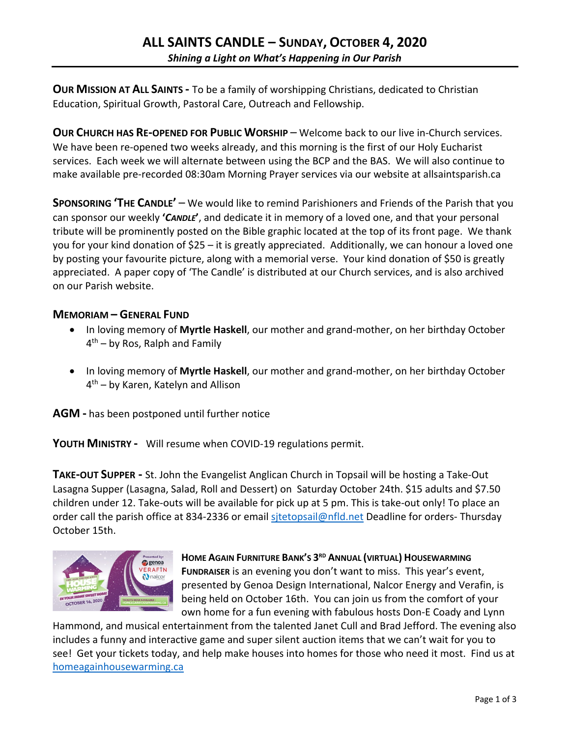**OUR MISSION AT ALL SAINTS -** To be a family of worshipping Christians, dedicated to Christian Education, Spiritual Growth, Pastoral Care, Outreach and Fellowship.

**OUR CHURCH HAS RE-OPENED FOR PUBLIC WORSHIP** – Welcome back to our live in-Church services. We have been re-opened two weeks already, and this morning is the first of our Holy Eucharist services. Each week we will alternate between using the BCP and the BAS. We will also continue to make available pre-recorded 08:30am Morning Prayer services via our website at allsaintsparish.ca

**SPONSORING 'THE CANDLE'** – We would like to remind Parishioners and Friends of the Parish that you can sponsor our weekly **'***CANDLE***'**, and dedicate it in memory of a loved one, and that your personal tribute will be prominently posted on the Bible graphic located at the top of its front page. We thank you for your kind donation of \$25 – it is greatly appreciated. Additionally, we can honour a loved one by posting your favourite picture, along with a memorial verse. Your kind donation of \$50 is greatly appreciated. A paper copy of 'The Candle' is distributed at our Church services, and is also archived on our Parish website.

#### **MEMORIAM – GENERAL FUND**

- In loving memory of **Myrtle Haskell**, our mother and grand-mother, on her birthday October  $4<sup>th</sup>$  – by Ros, Ralph and Family
- In loving memory of **Myrtle Haskell**, our mother and grand-mother, on her birthday October 4th – by Karen, Katelyn and Allison

**AGM -** has been postponed until further notice

**YOUTH MINISTRY -** Will resume when COVID-19 regulations permit.

**TAKE-OUT SUPPER -** St. John the Evangelist Anglican Church in Topsail will be hosting a Take-Out Lasagna Supper (Lasagna, Salad, Roll and Dessert) on Saturday October 24th. \$15 adults and \$7.50 children under 12. Take-outs will be available for pick up at 5 pm. This is take-out only! To place an order call the parish office at 834-2336 or email sitetopsail@nfld.net Deadline for orders- Thursday October 15th.



#### **HOME AGAIN FURNITURE BANK'S 3RD ANNUAL (VIRTUAL) HOUSEWARMING**

**FUNDRAISER** is an evening you don't want to miss. This year's event, presented by Genoa Design International, Nalcor Energy and Verafin, is being held on October 16th. You can join us from the comfort of your own home for a fun evening with fabulous hosts Don-E Coady and Lynn

Hammond, and musical entertainment from the talented Janet Cull and Brad Jefford. The evening also includes a funny and interactive game and super silent auction items that we can't wait for you to see! Get your tickets today, and help make houses into homes for those who need it most. Find us at homeagainhousewarming.ca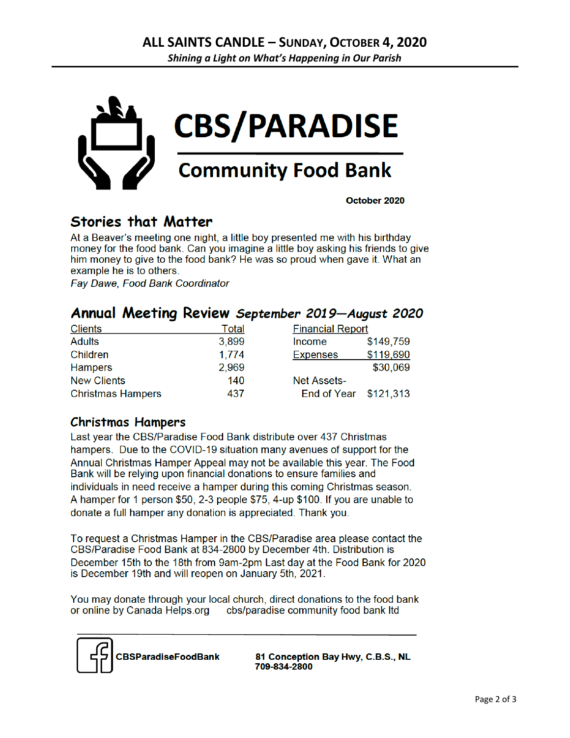

October 2020

# **Stories that Matter**

At a Beaver's meeting one night, a little boy presented me with his birthday money for the food bank. Can you imagine a little boy asking his friends to give him money to give to the food bank? He was so proud when gave it. What an example he is to others.

**Fav Dawe, Food Bank Coordinator** 

### Annual Meeting Review September 2019-August 2020

| <b>Clients</b>           | Total | <b>Financial Report</b> |           |
|--------------------------|-------|-------------------------|-----------|
| <b>Adults</b>            | 3,899 | Income                  | \$149,759 |
| Children                 | 1,774 | <b>Expenses</b>         | \$119,690 |
| <b>Hampers</b>           | 2,969 |                         | \$30,069  |
| <b>New Clients</b>       | 140   | <b>Net Assets-</b>      |           |
| <b>Christmas Hampers</b> | 437   | End of Year \$121,313   |           |

### **Christmas Hampers**

Last year the CBS/Paradise Food Bank distribute over 437 Christmas hampers. Due to the COVID-19 situation many avenues of support for the Annual Christmas Hamper Appeal may not be available this year. The Food Bank will be relying upon financial donations to ensure families and individuals in need receive a hamper during this coming Christmas season. A hamper for 1 person \$50, 2-3 people \$75, 4-up \$100. If you are unable to donate a full hamper any donation is appreciated. Thank you.

To request a Christmas Hamper in the CBS/Paradise area please contact the CBS/Paradise Food Bank at 834-2800 by December 4th. Distribution is December 15th to the 18th from 9am-2pm Last day at the Food Bank for 2020 is December 19th and will reopen on January 5th, 2021.

You may donate through your local church, direct donations to the food bank or online by Canada Helps.org cbs/paradise community food bank Itd



81 Conception Bay Hwy, C.B.S., NL 709-834-2800